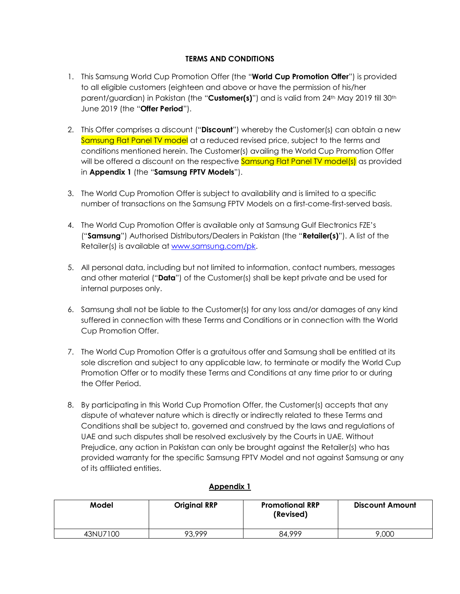## **TERMS AND CONDITIONS**

- 1. This Samsung World Cup Promotion Offer (the "**World Cup Promotion Offer**") is provided to all eligible customers (eighteen and above or have the permission of his/her parent/guardian) in Pakistan (the "**Customer(s)**") and is valid from 24th May 2019 till 30th June 2019 (the "**Offer Period**").
- 2. This Offer comprises a discount ("**Discount**") whereby the Customer(s) can obtain a new Samsung Flat Panel TV model at a reduced revised price, subject to the terms and conditions mentioned herein. The Customer(s) availing the World Cup Promotion Offer will be offered a discount on the respective **Samsung Flat Panel TV model(s)** as provided in **Appendix 1** (the "**Samsung FPTV Models**").
- 3. The World Cup Promotion Offer is subject to availability and is limited to a specific number of transactions on the Samsung FPTV Models on a first-come-first-served basis.
- 4. The World Cup Promotion Offer is available only at Samsung Gulf Electronics FZE's ("**Samsung**") Authorised Distributors/Dealers in Pakistan (the "**Retailer(s)**"). A list of the Retailer(s) is available at [www.samsung.com/pk.](http://www.samsung.com/pk)
- 5. All personal data, including but not limited to information, contact numbers, messages and other material ("**Data**") of the Customer(s) shall be kept private and be used for internal purposes only.
- 6. Samsung shall not be liable to the Customer(s) for any loss and/or damages of any kind suffered in connection with these Terms and Conditions or in connection with the World Cup Promotion Offer.
- 7. The World Cup Promotion Offer is a gratuitous offer and Samsung shall be entitled at its sole discretion and subject to any applicable law, to terminate or modify the World Cup Promotion Offer or to modify these Terms and Conditions at any time prior to or during the Offer Period.
- 8. By participating in this World Cup Promotion Offer, the Customer(s) accepts that any dispute of whatever nature which is directly or indirectly related to these Terms and Conditions shall be subject to, governed and construed by the laws and regulations of UAE and such disputes shall be resolved exclusively by the Courts in UAE. Without Prejudice, any action in Pakistan can only be brought against the Retailer(s) who has provided warranty for the specific Samsung FPTV Model and not against Samsung or any of its affiliated entities.

| <b>Appendix</b> |  |
|-----------------|--|
|                 |  |

| Model    | <b>Original RRP</b> | <b>Promotional RRP</b><br>(Revised) | <b>Discount Amount</b> |
|----------|---------------------|-------------------------------------|------------------------|
| 43NU7100 | 93.999              | 84.999                              | 9,000                  |